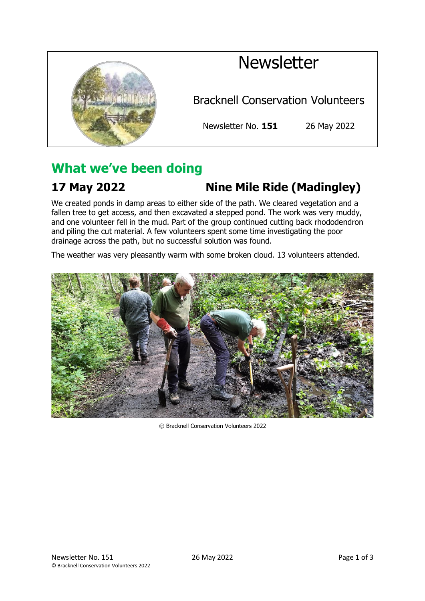# **Newsletter**



Bracknell Conservation Volunteers

Newsletter No. **151** 26 May 2022

## **What we've been doing**

## **17 May 2022 Nine Mile Ride (Madingley)**

We created ponds in damp areas to either side of the path. We cleared vegetation and a fallen tree to get access, and then excavated a stepped pond. The work was very muddy, and one volunteer fell in the mud. Part of the group continued cutting back rhododendron and piling the cut material. A few volunteers spent some time investigating the poor drainage across the path, but no successful solution was found.

The weather was very pleasantly warm with some broken cloud. 13 volunteers attended.



© Bracknell Conservation Volunteers 2022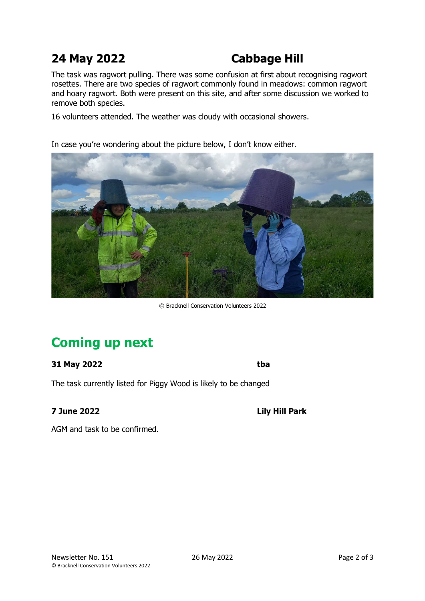## **24 May 2022 Cabbage Hill**

The task was ragwort pulling. There was some confusion at first about recognising ragwort rosettes. There are two species of ragwort commonly found in meadows: common ragwort and hoary ragwort. Both were present on this site, and after some discussion we worked to remove both species.

16 volunteers attended. The weather was cloudy with occasional showers.

In case you're wondering about the picture below, I don't know either.



© Bracknell Conservation Volunteers 2022

## **Coming up next**

### **31 May 2022 tba**

The task currently listed for Piggy Wood is likely to be changed

**7 June 2022 Lily Hill Park**

AGM and task to be confirmed.